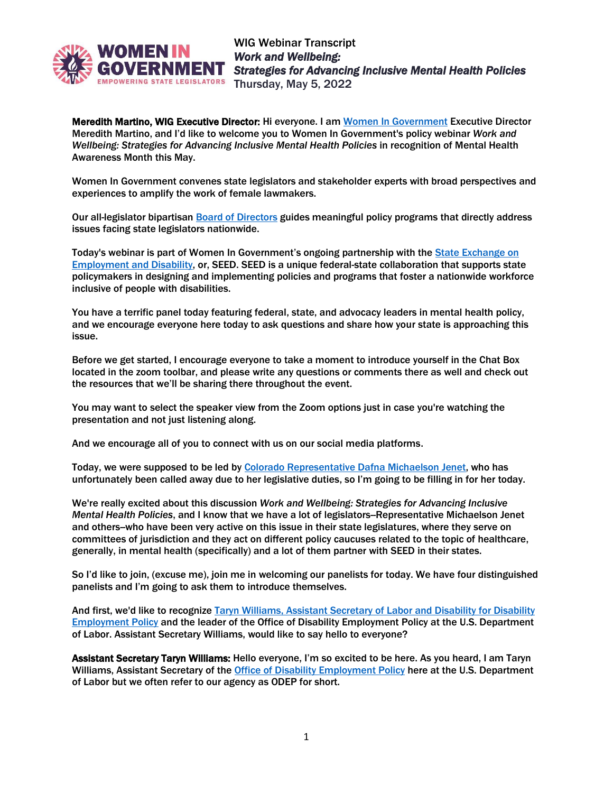

Meredith Martino, WIG Executive Director: Hi everyone. I am [Women In Government](https://www.womeningovernment.org/) Executive Director Meredith Martino, and I'd like to welcome you to Women In Government's policy webinar *Work and Wellbeing: Strategies for Advancing Inclusive Mental Health Policies* in recognition of Mental Health Awareness Month this May.

Women In Government convenes state legislators and stakeholder experts with broad perspectives and experiences to amplify the work of female lawmakers.

Our all-legislator bipartisan [Board of Directors](https://www.womeningovernment.org/about-us/wig-board-directors) guides meaningful policy programs that directly address issues facing state legislators nationwide.

Today's webinar is part of Women In Government's ongoing partnership with th[e State Exchange on](https://www.womeningovernment.org/policies_publications/policy-issues/state-exchange-employment-and-disability-seed)  [Employment and Disability,](https://www.womeningovernment.org/policies_publications/policy-issues/state-exchange-employment-and-disability-seed) or, SEED. SEED is a unique federal-state collaboration that supports state policymakers in designing and implementing policies and programs that foster a nationwide workforce inclusive of people with disabilities.

You have a terrific panel today featuring federal, state, and advocacy leaders in mental health policy, and we encourage everyone here today to ask questions and share how your state is approaching this issue.

Before we get started, I encourage everyone to take a moment to introduce yourself in the Chat Box located in the zoom toolbar, and please write any questions or comments there as well and check out the resources that we'll be sharing there throughout the event.

You may want to select the speaker view from the Zoom options just in case you're watching the presentation and not just listening along.

And we encourage all of you to connect with us on our social media platforms.

Today, we were supposed to be led by [Colorado Representative](https://leg.colorado.gov/legislators/dafna-michaelson-jenet) Dafna Michaelson Jenet, who has unfortunately been called away due to her legislative duties, so I'm going to be filling in for her today.

We're really excited about this discussion *Work and Wellbeing: Strategies for Advancing Inclusive Mental Health Policies*, and I know that we have a lot of legislators--Representative Michaelson Jenet and others-who have been very active on this issue in their state legislatures, where they serve on committees of jurisdiction and they act on different policy caucuses related to the topic of healthcare, generally, in mental health (specifically) and a lot of them partner with SEED in their states.

So I'd like to join, (excuse me), join me in welcoming our panelists for today. We have four distinguished panelists and I'm going to ask them to introduce themselves.

And first, we'd like to recognize Taryn Williams, [Assistant Secretary of Labor and Disability for Disability](https://www.dol.gov/agencies/odep/about/organizational-chart/assistant-secretary) [Employment Policy](https://www.dol.gov/agencies/odep/about/organizational-chart/assistant-secretary) and the leader of the Office of Disability Employment Policy at the U.S. Department of Labor. Assistant Secretary Williams, would like to say hello to everyone?

Assistant Secretary Taryn Williams: Hello everyone, I'm so excited to be here. As you heard, I am Taryn Williams, Assistant Secretary of the [Office of Disability Employment Policy](https://www.dol.gov/agencies/odep/about) here at the U.S. Department of Labor but we often refer to our agency as ODEP for short.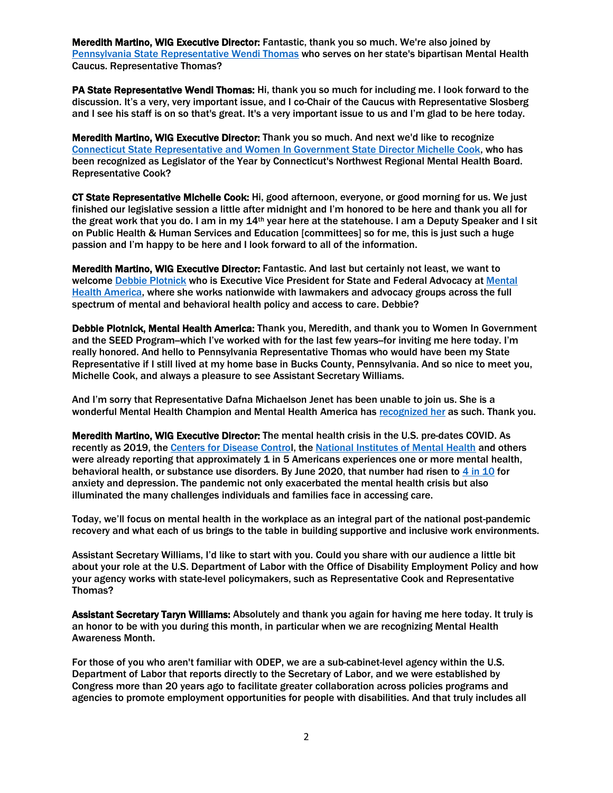Meredith Martino, WIG Executive Director: Fantastic, thank you so much. We're also joined by [Pennsylvania State Representative](https://www.legis.state.pa.us/cfdocs/legis/home/member_information/house_bio.cfm?id=1859) Wendi Thomas who serves on her state's bipartisan Mental Health Caucus. Representative Thomas?

PA State Representative Wendi Thomas: Hi, thank you so much for including me. I look forward to the discussion. It's a very, very important issue, and I co-Chair of the Caucus with Representative Slosberg and I see his staff is on so that's great. It's a very important issue to us and I'm glad to be here today.

Meredith Martino, WIG Executive Director: Thank you so much. And next we'd like to recognize Connecticut State Representative [and Women In Government State Director Michelle Cook,](https://www.housedems.ct.gov/Cook) who has been recognized as Legislator of the Year by Connecticut's Northwest Regional Mental Health Board. Representative Cook?

CT State Representative Michelle Cook: Hi, good afternoon, everyone, or good morning for us. We just finished our legislative session a little after midnight and I'm honored to be here and thank you all for the great work that you do. I am in my 14<sup>th</sup> year here at the statehouse. I am a Deputy Speaker and I sit on Public Health & Human Services and Education [committees] so for me, this is just such a huge passion and I'm happy to be here and I look forward to all of the information.

Meredith Martino, WIG Executive Director: Fantastic. And last but certainly not least, we want to welcome Debbie [Plotnick](https://mhanational.org/debbie-plotnick) who is Executive Vice President for State and Federal Advocacy at [Mental](https://mhanational.org/)  [Health America,](https://mhanational.org/) where she works nationwide with lawmakers and advocacy groups across the full spectrum of mental and behavioral health policy and access to care. Debbie?

Debbie Plotnick, Mental Health America: Thank you, Meredith, and thank you to Women In Government and the SEED Program-which I've worked with for the last few years-for inviting me here today. I'm really honored. And hello to Pennsylvania Representative Thomas who would have been my State Representative if I still lived at my home base in Bucks County, Pennsylvania. And so nice to meet you, Michelle Cook, and always a pleasure to see Assistant Secretary Williams.

And I'm sorry that Representative Dafna Michaelson Jenet has been unable to join us. She is a wonderful Mental Health Champion and Mental Health America ha[s recognized her](https://www.coloradopolitics.com/hot-sheet/herod-michaelson-jenet-get-high-profile-praise-for-mental-health-advocacy/article_104f34eb-30b2-5372-ac6f-ae4bea66b130.html) as such. Thank you.

Meredith Martino, WIG Executive Director: The mental health crisis in the U.S. pre-dates COVID. As recently as 2019, the [Centers for Disease Control](https://www.cdc.gov/mentalhealth/learn/index.htm#:~:text=1%20in%205%20Americans%20will,illness%20in%20a%20given%20year.&text=1%20in%205%20children%2C%20either,a%20seriously%20debilitating%20mental%20illness.&text=1%20in%2025%20Americans%20lives,bipolar%20disorder%2C%20or%20major%20depression.), the [National Institutes of Mental Health](https://www.nimh.nih.gov/health) and others were already reporting that approximately 1 in 5 Americans experiences one or more mental health, behavioral health, or substance use disorders. By June 2020, that number had risen to [4 in 10](https://www.kff.org/other/state-indicator/adults-reporting-symptoms-of-anxiety-or-depressive-disorder-during-covid-19-pandemic/?currentTimeframe=0&sortModel=%7B%22colId%22:%22Location%22,%22sort%22:%22asc%22%7D) for anxiety and depression. The pandemic not only exacerbated the mental health crisis but also illuminated the many challenges individuals and families face in accessing care.

Today, we'll focus on mental health in the workplace as an integral part of the national post-pandemic recovery and what each of us brings to the table in building supportive and inclusive work environments.

Assistant Secretary Williams, I'd like to start with you. Could you share with our audience a little bit about your role at the U.S. Department of Labor with the Office of Disability Employment Policy and how your agency works with state-level policymakers, such as Representative Cook and Representative Thomas?

Assistant Secretary Taryn Williams: Absolutely and thank you again for having me here today. It truly is an honor to be with you during this month, in particular when we are recognizing Mental Health Awareness Month.

For those of you who aren't familiar with ODEP, we are a sub-cabinet-level agency within the U.S. Department of Labor that reports directly to the Secretary of Labor, and we were established by Congress more than 20 years ago to facilitate greater collaboration across policies programs and agencies to promote employment opportunities for people with disabilities. And that truly includes all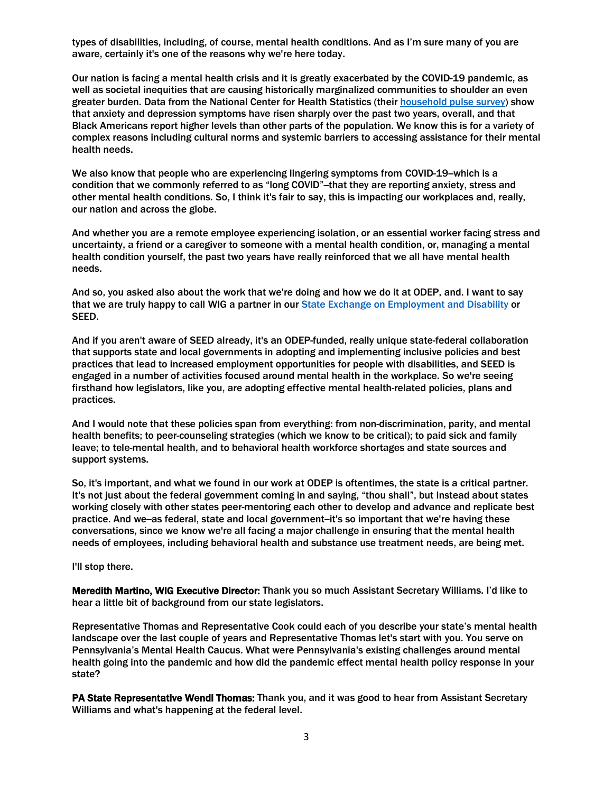types of disabilities, including, of course, mental health conditions. And as I'm sure many of you are aware, certainly it's one of the reasons why we're here today.

Our nation is facing a mental health crisis and it is greatly exacerbated by the COVID-19 pandemic, as well as societal inequities that are causing historically marginalized communities to shoulder an even greater burden. Data from the National Center for Health Statistics (their [household pulse survey\)](https://www.cdc.gov/nchs/covid19/pulse/mental-health.htm) show that anxiety and depression symptoms have risen sharply over the past two years, overall, and that Black Americans report higher levels than other parts of the population. We know this is for a variety of complex reasons including cultural norms and systemic barriers to accessing assistance for their mental health needs.

We also know that people who are experiencing lingering symptoms from COVID-19-which is a condition that we commonly referred to as "long COVID"-that they are reporting anxiety, stress and other mental health conditions. So, I think it's fair to say, this is impacting our workplaces and, really, our nation and across the globe.

And whether you are a remote employee experiencing isolation, or an essential worker facing stress and uncertainty, a friend or a caregiver to someone with a mental health condition, or, managing a mental health condition yourself, the past two years have really reinforced that we all have mental health needs.

And so, you asked also about the work that we're doing and how we do it at ODEP, and. I want to say that we are truly happy to call WIG a partner in our [State Exchange on Employment and Disability](https://www.dol.gov/agencies/odep/state-policy) or SEED.

And if you aren't aware of SEED already, it's an ODEP-funded, really unique state-federal collaboration that supports state and local governments in adopting and implementing inclusive policies and best practices that lead to increased employment opportunities for people with disabilities, and SEED is engaged in a number of activities focused around mental health in the workplace. So we're seeing firsthand how legislators, like you, are adopting effective mental health-related policies, plans and practices.

And I would note that these policies span from everything: from non-discrimination, parity, and mental health benefits; to peer-counseling strategies (which we know to be critical); to paid sick and family leave; to tele-mental health, and to behavioral health workforce shortages and state sources and support systems.

So, it's important, and what we found in our work at ODEP is oftentimes, the state is a critical partner. It's not just about the federal government coming in and saying, "thou shall", but instead about states working closely with other states peer-mentoring each other to develop and advance and replicate best practice. And we-as federal, state and local government-it's so important that we're having these conversations, since we know we're all facing a major challenge in ensuring that the mental health needs of employees, including behavioral health and substance use treatment needs, are being met.

I'll stop there.

Meredith Martino, WIG Executive Director: Thank you so much Assistant Secretary Williams. I'd like to hear a little bit of background from our state legislators.

Representative Thomas and Representative Cook could each of you describe your state's mental health landscape over the last couple of years and Representative Thomas let's start with you. You serve on Pennsylvania's Mental Health Caucus. What were Pennsylvania's existing challenges around mental health going into the pandemic and how did the pandemic effect mental health policy response in your state?

PA State Representative Wendi Thomas: Thank you, and it was good to hear from Assistant Secretary Williams and what's happening at the federal level.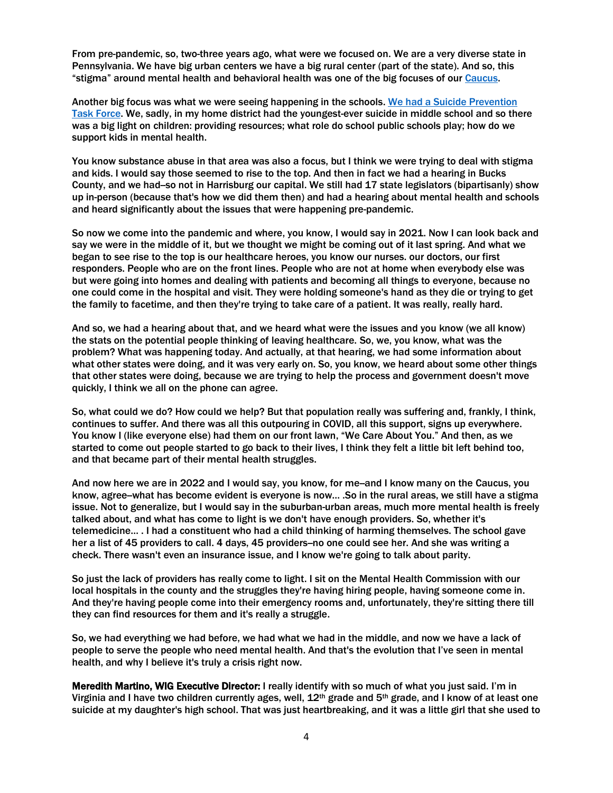From pre-pandemic, so, two-three years ago, what were we focused on. We are a very diverse state in Pennsylvania. We have big urban centers we have a big rural center (part of the state). And so, this "stigma" around mental health and behavioral health was one of the big focuses of ou[r Caucus.](https://www.pahousegop.com/Video/Caucus-Programs)

Another big focus was what we were seeing happening in the schools. [We had a Suicide Prevention](https://www.dhs.pa.gov/Services/Assistance/Pages/Suicide-Prevention.aspx)  [Task Force.](https://www.dhs.pa.gov/Services/Assistance/Pages/Suicide-Prevention.aspx) We, sadly, in my home district had the youngest-ever suicide in middle school and so there was a big light on children: providing resources; what role do school public schools play; how do we support kids in mental health.

You know substance abuse in that area was also a focus, but I think we were trying to deal with stigma and kids. I would say those seemed to rise to the top. And then in fact we had a hearing in Bucks County, and we had-so not in Harrisburg our capital. We still had 17 state legislators (bipartisanly) show up in-person (because that's how we did them then) and had a hearing about mental health and schools and heard significantly about the issues that were happening pre-pandemic.

So now we come into the pandemic and where, you know, I would say in 2021. Now I can look back and say we were in the middle of it, but we thought we might be coming out of it last spring. And what we began to see rise to the top is our healthcare heroes, you know our nurses. our doctors, our first responders. People who are on the front lines. People who are not at home when everybody else was but were going into homes and dealing with patients and becoming all things to everyone, because no one could come in the hospital and visit. They were holding someone's hand as they die or trying to get the family to facetime, and then they're trying to take care of a patient. It was really, really hard.

And so, we had a hearing about that, and we heard what were the issues and you know (we all know) the stats on the potential people thinking of leaving healthcare. So, we, you know, what was the problem? What was happening today. And actually, at that hearing, we had some information about what other states were doing, and it was very early on. So, you know, we heard about some other things that other states were doing, because we are trying to help the process and government doesn't move quickly, I think we all on the phone can agree.

So, what could we do? How could we help? But that population really was suffering and, frankly, I think, continues to suffer. And there was all this outpouring in COVID, all this support, signs up everywhere. You know I (like everyone else) had them on our front lawn, "We Care About You." And then, as we started to come out people started to go back to their lives, I think they felt a little bit left behind too, and that became part of their mental health struggles.

And now here we are in 2022 and I would say, you know, for me-and I know many on the Caucus, you know, agree--what has become evident is everyone is now… .So in the rural areas, we still have a stigma issue. Not to generalize, but I would say in the suburban-urban areas, much more mental health is freely talked about, and what has come to light is we don't have enough providers. So, whether it's telemedicine… . I had a constituent who had a child thinking of harming themselves. The school gave her a list of 45 providers to call. 4 days, 45 providers-no one could see her. And she was writing a check. There wasn't even an insurance issue, and I know we're going to talk about parity.

So just the lack of providers has really come to light. I sit on the Mental Health Commission with our local hospitals in the county and the struggles they're having hiring people, having someone come in. And they're having people come into their emergency rooms and, unfortunately, they're sitting there till they can find resources for them and it's really a struggle.

So, we had everything we had before, we had what we had in the middle, and now we have a lack of people to serve the people who need mental health. And that's the evolution that I've seen in mental health, and why I believe it's truly a crisis right now.

Meredith Martino, WIG Executive Director: I really identify with so much of what you just said. I'm in Virginia and I have two children currently ages, well,  $12<sup>th</sup>$  grade and 5<sup>th</sup> grade, and I know of at least one suicide at my daughter's high school. That was just heartbreaking, and it was a little girl that she used to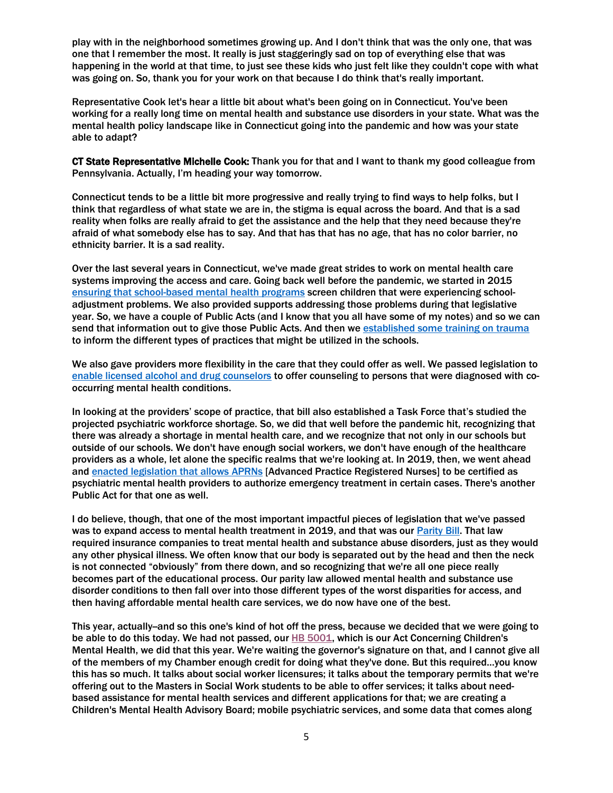play with in the neighborhood sometimes growing up. And I don't think that was the only one, that was one that I remember the most. It really is just staggeringly sad on top of everything else that was happening in the world at that time, to just see these kids who just felt like they couldn't cope with what was going on. So, thank you for your work on that because I do think that's really important.

Representative Cook let's hear a little bit about what's been going on in Connecticut. You've been working for a really long time on mental health and substance use disorders in your state. What was the mental health policy landscape like in Connecticut going into the pandemic and how was your state able to adapt?

CT State Representative Michelle Cook: Thank you for that and I want to thank my good colleague from Pennsylvania. Actually, I'm heading your way tomorrow.

Connecticut tends to be a little bit more progressive and really trying to find ways to help folks, but I think that regardless of what state we are in, the stigma is equal across the board. And that is a sad reality when folks are really afraid to get the assistance and the help that they need because they're afraid of what somebody else has to say. And that has that has no age, that has no color barrier, no ethnicity barrier. It is a sad reality.

Over the last several years in Connecticut, we've made great strides to work on mental health care systems improving the access and care. Going back well before the pandemic, we started in 2015 [ensuring that school-based](https://www.cga.ct.gov/asp/cgabillstatus/cgabillstatus.asp?selBillType=Public+Act&which_year=2015&bill_num=96) mental health programs screen children that were experiencing schooladjustment problems. We also provided supports addressing those problems during that legislative year. So, we have a couple of Public Acts (and I know that you all have some of my notes) and so we can send that information out to give those Public Acts. And then we established some training on trauma to inform the different types of practices that might be utilized in the schools.

We also gave providers more flexibility in the care that they could offer as well. We passed legislation to enable [licensed alcohol and drug counselors](https://www.cga.ct.gov/asp/cgabillstatus/cgabillstatus.asp?selBillType=Public+Act&which_year=2017&bill_num=146) to offer counseling to persons that were diagnosed with cooccurring mental health conditions.

In looking at the providers' scope of practice, that bill also established a Task Force that's studied the projected psychiatric workforce shortage. So, we did that well before the pandemic hit, recognizing that there was already a shortage in mental health care, and we recognize that not only in our schools but outside of our schools. We don't have enough social workers, we don't have enough of the healthcare providers as a whole, let alone the specific realms that we're looking at. In 2019, then, we went ahead an[d enacted legislation that allows APRNs](https://www.cga.ct.gov/asp/cgabillstatus/cgabillstatus.asp?selBillType=Public+Act&which_year=2019&bill_num=98) [Advanced Practice Registered Nurses] to be certified as psychiatric mental health providers to authorize emergency treatment in certain cases. There's another Public Act for that one as well.

I do believe, though, that one of the most important impactful pieces of legislation that we've passed was to expand access to mental health treatment in 2019, and that was our [Parity](https://www.cga.ct.gov/asp/cgabillstatus/cgabillstatus.asp?selBillType=Public+Act&which_year=2019&bill_num=159) Bill. That law required insurance companies to treat mental health and substance abuse disorders, just as they would any other physical illness. We often know that our body is separated out by the head and then the neck is not connected "obviously" from there down, and so recognizing that we're all one piece really becomes part of the educational process. Our parity law allowed mental health and substance use disorder conditions to then fall over into those different types of the worst disparities for access, and then having affordable mental health care services, we do now have one of the best.

This year, actually-and so this one's kind of hot off the press, because we decided that we were going to be able to do this today. We had not passed, our HB [5001,](https://www.cga.ct.gov/asp/CGABillStatus/cgabillstatus.asp?selBillType=Bill&bill_num=HB5001) which is our Act Concerning Children's Mental Health, we did that this year. We're waiting the governor's signature on that, and I cannot give all of the members of my Chamber enough credit for doing what they've done. But this required…you know this has so much. It talks about social worker licensures; it talks about the temporary permits that we're offering out to the Masters in Social Work students to be able to offer services; it talks about needbased assistance for mental health services and different applications for that; we are creating a Children's Mental Health Advisory Board; mobile psychiatric services, and some data that comes along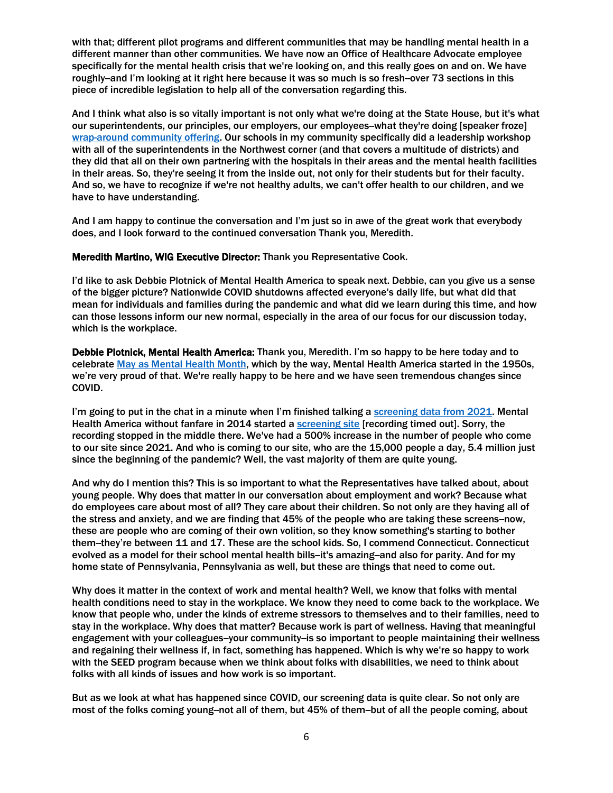with that; different pilot programs and different communities that may be handling mental health in a different manner than other communities. We have now an Office of Healthcare Advocate employee specifically for the mental health crisis that we're looking on, and this really goes on and on. We have roughly-and I'm looking at it right here because it was so much is so fresh-over 73 sections in this piece of incredible legislation to help all of the conversation regarding this.

And I think what also is so vitally important is not only what we're doing at the State House, but it's what our superintendents, our principles, our employers, our employees--what they're doing [speaker froze] [wrap-around community offering.](https://portal.ct.gov/SDE/Press-Room/Press-Releases/2020/Announcement-of-New-Social-and-Emotional-Learning-Course-to-Support-CT-School-Staff) Our schools in my community specifically did a leadership workshop with all of the superintendents in the Northwest corner (and that covers a multitude of districts) and they did that all on their own partnering with the hospitals in their areas and the mental health facilities in their areas. So, they're seeing it from the inside out, not only for their students but for their faculty. And so, we have to recognize if we're not healthy adults, we can't offer health to our children, and we have to have understanding.

And I am happy to continue the conversation and I'm just so in awe of the great work that everybody does, and I look forward to the continued conversation Thank you, Meredith.

Meredith Martino, WIG Executive Director: Thank you Representative Cook.

I'd like to ask Debbie Plotnick of Mental Health America to speak next. Debbie, can you give us a sense of the bigger picture? Nationwide COVID shutdowns affected everyone's daily life, but what did that mean for individuals and families during the pandemic and what did we learn during this time, and how can those lessons inform our new normal, especially in the area of our focus for our discussion today, which is the workplace.

Debbie Plotnick, Mental Health America: Thank you, Meredith. I'm so happy to be here today and to celebrate [May as Mental Health Month,](https://www.mhanational.org/mental-health-month) which by the way, Mental Health America started in the 1950s, we're very proud of that. We're really happy to be here and we have seen tremendous changes since COVID.

I'm going to put in the chat in a minute when I'm finished talking a [screening data from 2021.](https://mhanational.org/mental-health-and-covid-19-two-years-after-pandemic) Mental Health America without fanfare in 2014 started a [screening site](https://screening.mhanational.org/screening-tools/) [recording timed out]. Sorry, the recording stopped in the middle there. We've had a 500% increase in the number of people who come to our site since 2021. And who is coming to our site, who are the 15,000 people a day, 5.4 million just since the beginning of the pandemic? Well, the vast majority of them are quite young.

And why do I mention this? This is so important to what the Representatives have talked about, about young people. Why does that matter in our conversation about employment and work? Because what do employees care about most of all? They care about their children. So not only are they having all of the stress and anxiety, and we are finding that 45% of the people who are taking these screens--now, these are people who are coming of their own volition, so they know something's starting to bother them--they're between 11 and 17. These are the school kids. So, I commend Connecticut. Connecticut evolved as a model for their school mental health bills-it's amazing-and also for parity. And for my home state of Pennsylvania, Pennsylvania as well, but these are things that need to come out.

Why does it matter in the context of work and mental health? Well, we know that folks with mental health conditions need to stay in the workplace. We know they need to come back to the workplace. We know that people who, under the kinds of extreme stressors to themselves and to their families, need to stay in the workplace. Why does that matter? Because work is part of wellness. Having that meaningful engagement with your colleagues-your community-is so important to people maintaining their wellness and regaining their wellness if, in fact, something has happened. Which is why we're so happy to work with the SEED program because when we think about folks with disabilities, we need to think about folks with all kinds of issues and how work is so important.

But as we look at what has happened since COVID, our screening data is quite clear. So not only are most of the folks coming young--not all of them, but 45% of them--but of all the people coming, about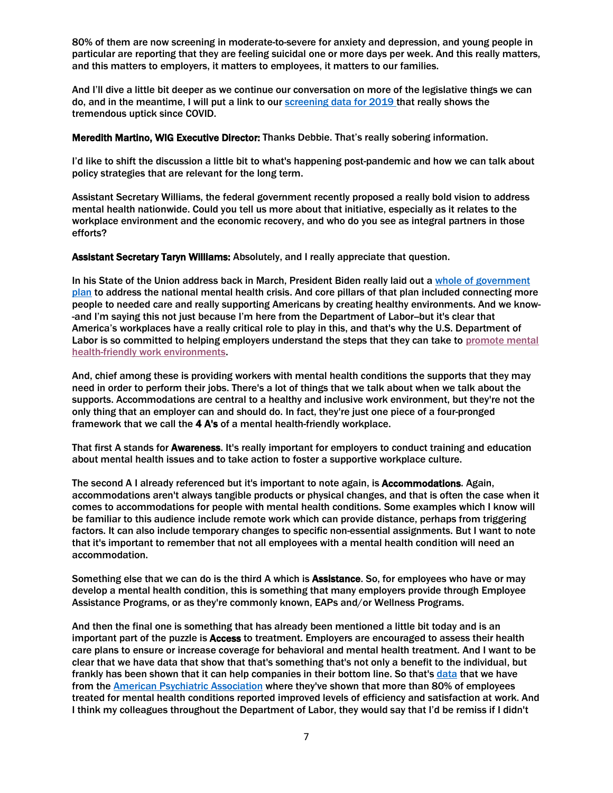80% of them are now screening in moderate-to-severe for anxiety and depression, and young people in particular are reporting that they are feeling suicidal one or more days per week. And this really matters, and this matters to employers, it matters to employees, it matters to our families.

And I'll dive a little bit deeper as we continue our conversation on more of the legislative things we can do, and in the meantime, I will put a link to ou[r screening data for 2019 t](https://mhanational.org/mental-health-and-covid-19-two-years-after-pandemic)hat really shows the tremendous uptick since COVID.

Meredith Martino, WIG Executive Director: Thanks Debbie. That's really sobering information.

I'd like to shift the discussion a little bit to what's happening post-pandemic and how we can talk about policy strategies that are relevant for the long term.

Assistant Secretary Williams, the federal government recently proposed a really bold vision to address mental health nationwide. Could you tell us more about that initiative, especially as it relates to the workplace environment and the economic recovery, and who do you see as integral partners in those efforts?

Assistant Secretary Taryn Williams: Absolutely, and I really appreciate that question.

In his State of the Union address back in March, President Biden really laid out [a whole of government](https://www.whitehouse.gov/briefing-room/statements-releases/2022/03/01/fact-sheet-president-biden-to-announce-strategy-to-address-our-national-mental-health-crisis-as-part-of-unity-agenda-in-his-first-state-of-the-union/)  [plan](https://www.whitehouse.gov/briefing-room/statements-releases/2022/03/01/fact-sheet-president-biden-to-announce-strategy-to-address-our-national-mental-health-crisis-as-part-of-unity-agenda-in-his-first-state-of-the-union/) to address the national mental health crisis. And core pillars of that plan included connecting more people to needed care and really supporting Americans by creating healthy environments. And we know- -and I'm saying this not just because I'm here from the Department of Labor-but it's clear that America's workplaces have a really critical role to play in this, and that's why the U.S. Department of Labor is so committed to helping employers understand the steps that they can take to promote mental [health-friendly work environments.](https://www.dol.gov/agencies/odep)

And, chief among these is providing workers with mental health conditions the supports that they may need in order to perform their jobs. There's a lot of things that we talk about when we talk about the supports. Accommodations are central to a healthy and inclusive work environment, but they're not the only thing that an employer can and should do. In fact, they're just one piece of a four-pronged framework that we call the 4 A's of a mental health-friendly workplace.

That first A stands for Awareness. It's really important for employers to conduct training and education about mental health issues and to take action to foster a supportive workplace culture.

The second A I already referenced but it's important to note again, is Accommodations. Again, accommodations aren't always tangible products or physical changes, and that is often the case when it comes to accommodations for people with mental health conditions. Some examples which I know will be familiar to this audience include remote work which can provide distance, perhaps from triggering factors. It can also include temporary changes to specific non-essential assignments. But I want to note that it's important to remember that not all employees with a mental health condition will need an accommodation.

Something else that we can do is the third A which is **Assistance**. So, for employees who have or may develop a mental health condition, this is something that many employers provide through Employee Assistance Programs, or as they're commonly known, EAPs and/or Wellness Programs.

And then the final one is something that has already been mentioned a little bit today and is an important part of the puzzle is Access to treatment. Employers are encouraged to assess their health care plans to ensure or increase coverage for behavioral and mental health treatment. And I want to be clear that we have data that show that that's something that's not only a benefit to the individual, but frankly has been shown that it can help companies in their bottom line. So that's [data](https://psychiatry.org/newsroom/apa-public-opinion-poll-2021-workplace) that we have from the [American Psychiatric Association](https://workplacementalhealth.org/Making-The-Business-Case) where they've shown that more than 80% of employees treated for mental health conditions reported improved levels of efficiency and satisfaction at work. And I think my colleagues throughout the Department of Labor, they would say that I'd be remiss if I didn't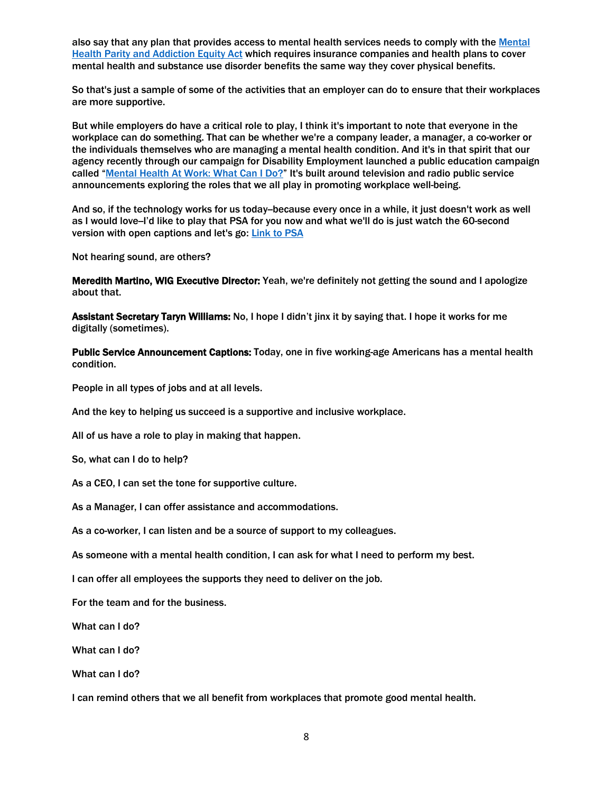also say that any plan that provides access to mental health services needs to comply with the Mental [Health Parity and Addiction Equity Act](https://www.cms.gov/CCIIO/Programs-and-Initiatives/Other-Insurance-Protections/mhpaea_factsheet) which requires insurance companies and health plans to cover mental health and substance use disorder benefits the same way they cover physical benefits.

So that's just a sample of some of the activities that an employer can do to ensure that their workplaces are more supportive.

But while employers do have a critical role to play, I think it's important to note that everyone in the workplace can do something. That can be whether we're a company leader, a manager, a co-worker or the individuals themselves who are managing a mental health condition. And it's in that spirit that our agency recently through our campaign for Disability Employment launched a public education campaign called "[Mental Health At Work: What Can I Do?](https://www.whatcanyoudocampaign.org/)" It's built around television and radio public service announcements exploring the roles that we all play in promoting workplace well-being.

And so, if the technology works for us today-because every once in a while, it just doesn't work as well as I would love-I'd like to play that PSA for you now and what we'll do is just watch the 60-second version with open captions and let's go: [Link to PSA](https://www.whatcanyoudocampaign.org/wp-content/uploads/2022/02/psa-mental-health-at-work-what-can-i-do-open-captioned-60s.mp4)

Not hearing sound, are others?

Meredith Martino, WIG Executive Director: Yeah, we're definitely not getting the sound and I apologize about that.

Assistant Secretary Taryn Williams: No, I hope I didn't jinx it by saying that. I hope it works for me digitally (sometimes).

Public Service Announcement Captions: Today, one in five working-age Americans has a mental health condition.

People in all types of jobs and at all levels.

And the key to helping us succeed is a supportive and inclusive workplace.

All of us have a role to play in making that happen.

So, what can I do to help?

As a CEO, I can set the tone for supportive culture.

As a Manager, I can offer assistance and accommodations.

As a co-worker, I can listen and be a source of support to my colleagues.

As someone with a mental health condition, I can ask for what I need to perform my best.

I can offer all employees the supports they need to deliver on the job.

For the team and for the business.

What can I do?

What can I do?

What can I do?

I can remind others that we all benefit from workplaces that promote good mental health.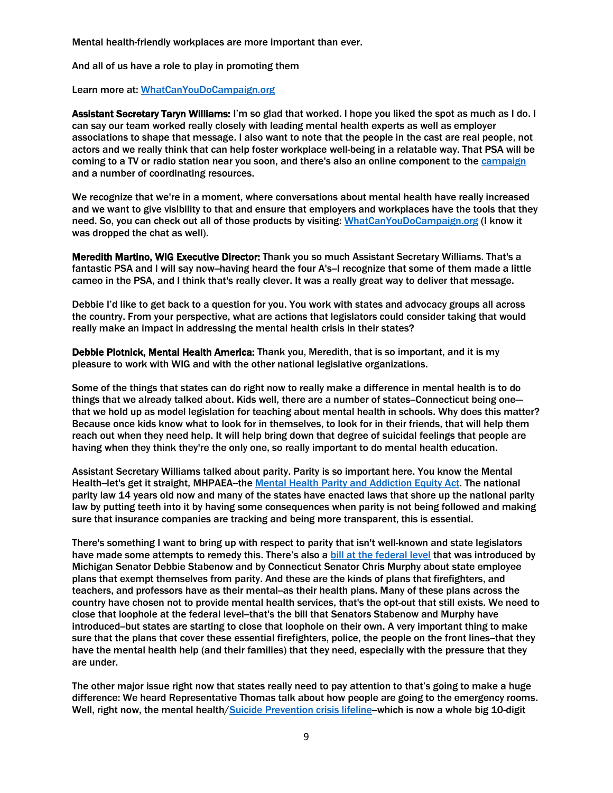Mental health-friendly workplaces are more important than ever.

And all of us have a role to play in promoting them

Learn more at[: WhatCanYouDoCampaign.org](https://www.whatcanyoudocampaign.org/)

Assistant Secretary Taryn Williams: I'm so glad that worked. I hope you liked the spot as much as I do. I can say our team worked really closely with leading mental health experts as well as employer associations to shape that message. I also want to note that the people in the cast are real people, not actors and we really think that can help foster workplace well-being in a relatable way. That PSA will be coming to a TV or radio station near you soon, and there's also an online component to the [campaign](https://www.whatcanyoudocampaign.org/psa-campaigns/mental-health-psa/) and a number of coordinating resources.

We recognize that we're in a moment, where conversations about mental health have really increased and we want to give visibility to that and ensure that employers and workplaces have the tools that they need. So, you can check out all of those products by visiting: [WhatCanYouDoCampaign.org](https://www.whatcanyoudocampaign.org/) (I know it was dropped the chat as well).

Meredith Martino, WIG Executive Director: Thank you so much Assistant Secretary Williams. That's a fantastic PSA and I will say now-having heard the four A's-I recognize that some of them made a little cameo in the PSA, and I think that's really clever. It was a really great way to deliver that message.

Debbie I'd like to get back to a question for you. You work with states and advocacy groups all across the country. From your perspective, what are actions that legislators could consider taking that would really make an impact in addressing the mental health crisis in their states?

Debbie Plotnick, Mental Health America: Thank you, Meredith, that is so important, and it is my pleasure to work with WIG and with the other national legislative organizations.

Some of the things that states can do right now to really make a difference in mental health is to do things that we already talked about. Kids well, there are a number of states--Connecticut being one that we hold up as model legislation for teaching about mental health in schools. Why does this matter? Because once kids know what to look for in themselves, to look for in their friends, that will help them reach out when they need help. It will help bring down that degree of suicidal feelings that people are having when they think they're the only one, so really important to do mental health education.

Assistant Secretary Williams talked about parity. Parity is so important here. You know the Mental Health-let's get it straight, MHPAEA-the [Mental Health](https://www.cms.gov/CCIIO/Programs-and-Initiatives/Other-Insurance-Protections/mhpaea_factsheet) Parity and Addiction Equity Act. The national parity law 14 years old now and many of the states have enacted laws that shore up the national parity law by putting teeth into it by having some consequences when parity is not being followed and making sure that insurance companies are tracking and being more transparent, this is essential.

There's something I want to bring up with respect to parity that isn't well-known and state legislators have made some attempts to remedy this. There's also a bill at [the federal level](https://www.murphy.senate.gov/imo/media/doc/chcgpsa_one_pager.pdf) that was introduced by Michigan Senator Debbie Stabenow and by Connecticut Senator Chris Murphy about state employee plans that exempt themselves from parity. And these are the kinds of plans that firefighters, and teachers, and professors have as their mental-as their health plans. Many of these plans across the country have chosen not to provide mental health services, that's the opt-out that still exists. We need to close that loophole at the federal level--that's the bill that Senators Stabenow and Murphy have introduced--but states are starting to close that loophole on their own. A very important thing to make sure that the plans that cover these essential firefighters, police, the people on the front lines--that they have the mental health help (and their families) that they need, especially with the pressure that they are under.

The other major issue right now that states really need to pay attention to that's going to make a huge difference: We heard Representative Thomas talk about how people are going to the emergency rooms. Well, right now, the mental health[/Suicide Prevention crisis lifeline-](https://suicidepreventionlifeline.org/current-events/the-lifeline-and-988/#:~:text=988%20has%20been%20designated%20as,starting%20on%20July%2016%2C%202022.)which is now a whole big 10-digit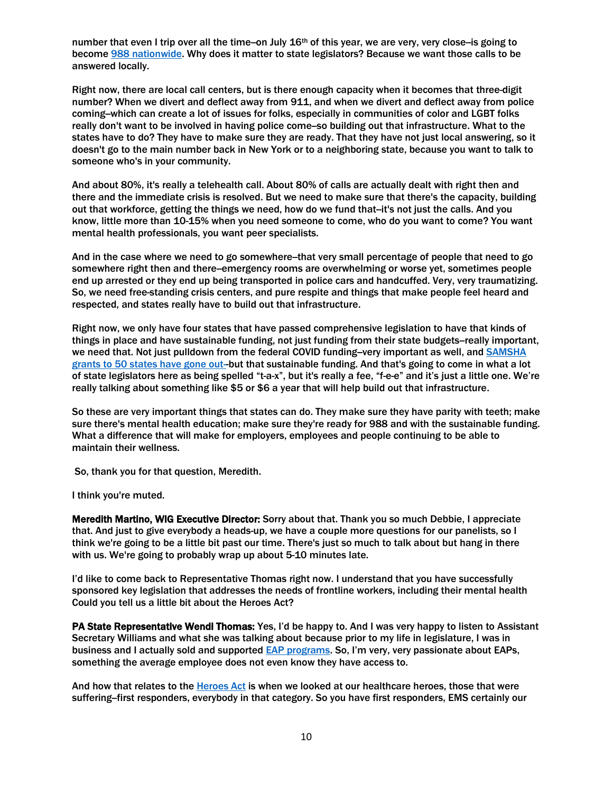number that even I trip over all the time-on July  $16<sup>th</sup>$  of this year, we are very, very close-is going to become [988 nationwide.](https://www.fcc.gov/suicide-prevention-hotline) Why does it matter to state legislators? Because we want those calls to be answered locally.

Right now, there are local call centers, but is there enough capacity when it becomes that three-digit number? When we divert and deflect away from 911, and when we divert and deflect away from police coming--which can create a lot of issues for folks, especially in communities of color and LGBT folks really don't want to be involved in having police come--so building out that infrastructure. What to the states have to do? They have to make sure they are ready. That they have not just local answering, so it doesn't go to the main number back in New York or to a neighboring state, because you want to talk to someone who's in your community.

And about 80%, it's really a telehealth call. About 80% of calls are actually dealt with right then and there and the immediate crisis is resolved. But we need to make sure that there's the capacity, building out that workforce, getting the things we need, how do we fund that--it's not just the calls. And you know, little more than 10-15% when you need someone to come, who do you want to come? You want mental health professionals, you want peer specialists.

And in the case where we need to go somewhere-that very small percentage of people that need to go somewhere right then and there-emergency rooms are overwhelming or worse yet, sometimes people end up arrested or they end up being transported in police cars and handcuffed. Very, very traumatizing. So, we need free-standing crisis centers, and pure respite and things that make people feel heard and respected, and states really have to build out that infrastructure.

Right now, we only have four states that have passed comprehensive legislation to have that kinds of things in place and have sustainable funding, not just funding from their state budgets--really important, we need that. Not just pulldown from the federal COVID funding-very important as well, and **SAMSHA** [grants to 50 states have gone out--](https://www.samhsa.gov/grants/grant-announcements-2022)but that sustainable funding. And that's going to come in what a lot of state legislators here as being spelled "t-a-x", but it's really a fee, "f-e-e" and it's just a little one. We're really talking about something like \$5 or \$6 a year that will help build out that infrastructure.

So these are very important things that states can do. They make sure they have parity with teeth; make sure there's mental health education; make sure they're ready for 988 and with the sustainable funding. What a difference that will make for employers, employees and people continuing to be able to maintain their wellness.

So, thank you for that question, Meredith.

I think you're muted.

Meredith Martino, WIG Executive Director: Sorry about that. Thank you so much Debbie, I appreciate that. And just to give everybody a heads-up, we have a couple more questions for our panelists, so I think we're going to be a little bit past our time. There's just so much to talk about but hang in there with us. We're going to probably wrap up about 5-10 minutes late.

I'd like to come back to Representative Thomas right now. I understand that you have successfully sponsored key legislation that addresses the needs of frontline workers, including their mental health Could you tell us a little bit about the Heroes Act?

PA State Representative Wendi Thomas: Yes, I'd be happy to. And I was very happy to listen to Assistant Secretary Williams and what she was talking about because prior to my life in legislature, I was in business and I actually sold and supporte[d EAP programs.](https://www.shrm.org/resourcesandtools/tools-and-samples/toolkits/pages/managingemployeeassistanceprograms.aspx) So, I'm very, very passionate about EAPs, something the average employee does not even know they have access to.

And how that relates to th[e Heroes](https://www.legis.state.pa.us/cfdocs/billinfo/billinfo.cfm?syear=2021&sInd=0&body=H&type=B&bn=1420) Act is when we looked at our healthcare heroes, those that were suffering-first responders, everybody in that category. So you have first responders, EMS certainly our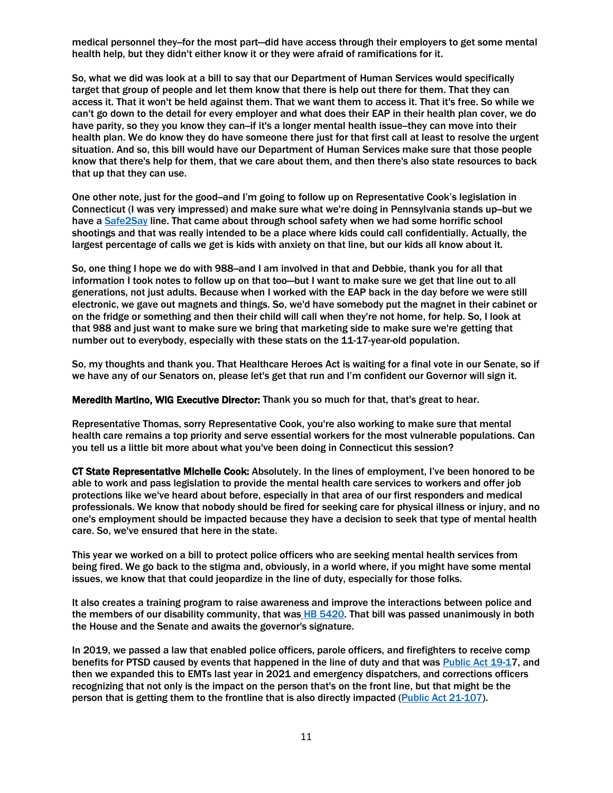medical personnel they-for the most part—did have access through their employers to get some mental health help, but they didn't either know it or they were afraid of ramifications for it.

So, what we did was look at a bill to say that our Department of Human Services would specifically target that group of people and let them know that there is help out there for them. That they can access it. That it won't be held against them. That we want them to access it. That it's free. So while we can't go down to the detail for every employer and what does their EAP in their health plan cover, we do have parity, so they you know they can-if it's a longer mental health issue-they can move into their health plan. We do know they do have someone there just for that first call at least to resolve the urgent situation. And so, this bill would have our Department of Human Services make sure that those people know that there's help for them, that we care about them, and then there's also state resources to back that up that they can use.

One other note, just for the good--and I'm going to follow up on Representative Cook's legislation in Connecticut (I was very impressed) and make sure what we're doing in Pennsylvania stands up--but we have a [Safe2Say](https://www.safe2saypa.org/) line. That came about through school safety when we had some horrific school shootings and that was really intended to be a place where kids could call confidentially. Actually, the largest percentage of calls we get is kids with anxiety on that line, but our kids all know about it.

So, one thing I hope we do with 988-and I am involved in that and Debbie, thank you for all that information I took notes to follow up on that too—but I want to make sure we get that line out to all generations, not just adults. Because when I worked with the EAP back in the day before we were still electronic, we gave out magnets and things. So, we'd have somebody put the magnet in their cabinet or on the fridge or something and then their child will call when they're not home, for help. So, I look at that 988 and just want to make sure we bring that marketing side to make sure we're getting that number out to everybody, especially with these stats on the 11-17-year-old population.

So, my thoughts and thank you. That Healthcare Heroes Act is waiting for a final vote in our Senate, so if we have any of our Senators on, please let's get that run and I'm confident our Governor will sign it.

Meredith Martino, WIG Executive Director: Thank you so much for that, that's great to hear.

Representative Thomas, sorry Representative Cook, you're also working to make sure that mental health care remains a top priority and serve essential workers for the most vulnerable populations. Can you tell us a little bit more about what you've been doing in Connecticut this session?

CT State Representative Michelle Cook: Absolutely. In the lines of employment, I've been honored to be able to work and pass legislation to provide the mental health care services to workers and offer job protections like we've heard about before, especially in that area of our first responders and medical professionals. We know that nobody should be fired for seeking care for physical illness or injury, and no one's employment should be impacted because they have a decision to seek that type of mental health care. So, we've ensured that here in the state.

This year we worked on a bill to protect police officers who are seeking mental health services from being fired. We go back to the stigma and, obviously, in a world where, if you might have some mental issues, we know that that could jeopardize in the line of duty, especially for those folks.

It also creates a training program to raise awareness and improve the interactions between police and the members of our disability community, that was HB [5420.](https://cga.ct.gov/asp/cgabillstatus/cgabillstatus.asp?selBillType=Bill&which_year=2022&bill_num=5420) That bill was passed unanimously in both the House and the Senate and awaits the governor's signature.

In 2019, we passed a law that enabled police officers, parole officers, and firefighters to receive comp benefits for PTSD caused by events that happened in the line of duty and that was [Public Act 19-17](https://www.cga.ct.gov/asp/cgabillstatus/cgabillstatus.asp?selBillType=Bill&which_year=2019&bill_num=164), and then we expanded this to EMTs last year in 2021 and emergency dispatchers, and corrections officers recognizing that not only is the impact on the person that's on the front line, but that might be the person that is getting them to the frontline that is also directly impacted [\(Public Act](https://www.cga.ct.gov/asp/cgabillstatus/cgabillstatus.asp?selBillType=Bill&which_year=2021&bill_num=660) 21-107).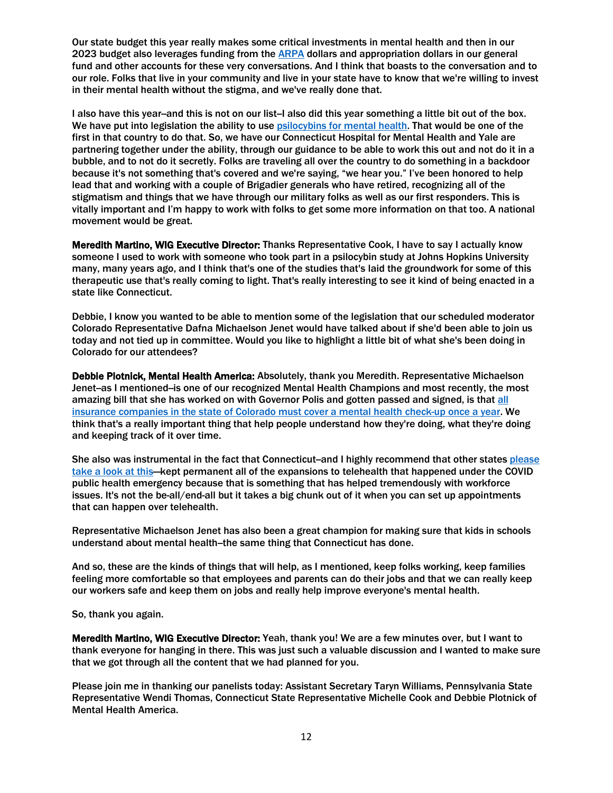Our state budget this year really makes some critical investments in mental health and then in our 2023 budget also leverages funding from the **ARPA** dollars and appropriation dollars in our general fund and other accounts for these very conversations. And I think that boasts to the conversation and to our role. Folks that live in your community and live in your state have to know that we're willing to invest in their mental health without the stigma, and we've really done that.

I also have this year-and this is not on our list-I also did this year something a little bit out of the box. We have put into legislation the ability to use psilocybins [for mental health.](https://portal.ct.gov/DMHAS/Newsworthy/News-Items/Psilocybin-Study-Workgroup) That would be one of the first in that country to do that. So, we have our Connecticut Hospital for Mental Health and Yale are partnering together under the ability, through our guidance to be able to work this out and not do it in a bubble, and to not do it secretly. Folks are traveling all over the country to do something in a backdoor because it's not something that's covered and we're saying, "we hear you." I've been honored to help lead that and working with a couple of Brigadier generals who have retired, recognizing all of the stigmatism and things that we have through our military folks as well as our first responders. This is vitally important and I'm happy to work with folks to get some more information on that too. A national movement would be great.

Meredith Martino, WIG Executive Director: Thanks Representative Cook, I have to say I actually know someone I used to work with someone who took part in a psilocybin study at Johns Hopkins University many, many years ago, and I think that's one of the studies that's laid the groundwork for some of this therapeutic use that's really coming to light. That's really interesting to see it kind of being enacted in a state like Connecticut.

Debbie, I know you wanted to be able to mention some of the legislation that our scheduled moderator Colorado Representative Dafna Michaelson Jenet would have talked about if she'd been able to join us today and not tied up in committee. Would you like to highlight a little bit of what she's been doing in Colorado for our attendees?

Debbie Plotnick, Mental Health America: Absolutely, thank you Meredith. Representative Michaelson Jenet-as I mentioned-is one of our recognized Mental Health Champions and most recently, the most amazing bill that she has worked on with Governor Polis and gotten passed and signed, is that [all](https://leg.colorado.gov/bills/hb21-1068)  [insurance companies in the state of Colorado must cover a mental health check-up](https://leg.colorado.gov/bills/hb21-1068) once a year. We think that's a really important thing that help people understand how they're doing, what they're doing and keeping track of it over time.

She also was instrumental in the fact that Connecticut--and I highly recommend that other states please [take a look at this](https://www.nj.com/opinion/2021/08/telehealth-for-mental-health-care-should-be-made-permanent-opinion.html)—kept permanent all of the expansions to telehealth that happened under the COVID public health emergency because that is something that has helped tremendously with workforce issues. It's not the be-all/end-all but it takes a big chunk out of it when you can set up appointments that can happen over telehealth.

Representative Michaelson Jenet has also been a great champion for making sure that kids in schools understand about mental health--the same thing that Connecticut has done.

And so, these are the kinds of things that will help, as I mentioned, keep folks working, keep families feeling more comfortable so that employees and parents can do their jobs and that we can really keep our workers safe and keep them on jobs and really help improve everyone's mental health.

## So, thank you again.

Meredith Martino, WIG Executive Director: Yeah, thank you! We are a few minutes over, but I want to thank everyone for hanging in there. This was just such a valuable discussion and I wanted to make sure that we got through all the content that we had planned for you.

Please join me in thanking our panelists today: Assistant Secretary Taryn Williams, Pennsylvania State Representative Wendi Thomas, Connecticut State Representative Michelle Cook and Debbie Plotnick of Mental Health America.